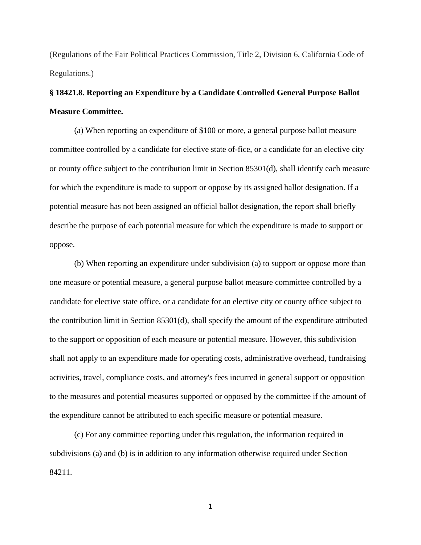(Regulations of the Fair Political Practices Commission, Title 2, Division 6, California Code of Regulations.)

## **§ 18421.8. Reporting an Expenditure by a Candidate Controlled General Purpose Ballot Measure Committee.**

(a) When reporting an expenditure of \$100 or more, a general purpose ballot measure committee controlled by a candidate for elective state of-fice, or a candidate for an elective city or county office subject to the contribution limit in Section 85301(d), shall identify each measure for which the expenditure is made to support or oppose by its assigned ballot designation. If a potential measure has not been assigned an official ballot designation, the report shall briefly describe the purpose of each potential measure for which the expenditure is made to support or oppose.

(b) When reporting an expenditure under subdivision (a) to support or oppose more than one measure or potential measure, a general purpose ballot measure committee controlled by a candidate for elective state office, or a candidate for an elective city or county office subject to the contribution limit in Section 85301(d), shall specify the amount of the expenditure attributed to the support or opposition of each measure or potential measure. However, this subdivision shall not apply to an expenditure made for operating costs, administrative overhead, fundraising activities, travel, compliance costs, and attorney's fees incurred in general support or opposition to the measures and potential measures supported or opposed by the committee if the amount of the expenditure cannot be attributed to each specific measure or potential measure.

(c) For any committee reporting under this regulation, the information required in subdivisions (a) and (b) is in addition to any information otherwise required under Section 84211.

1